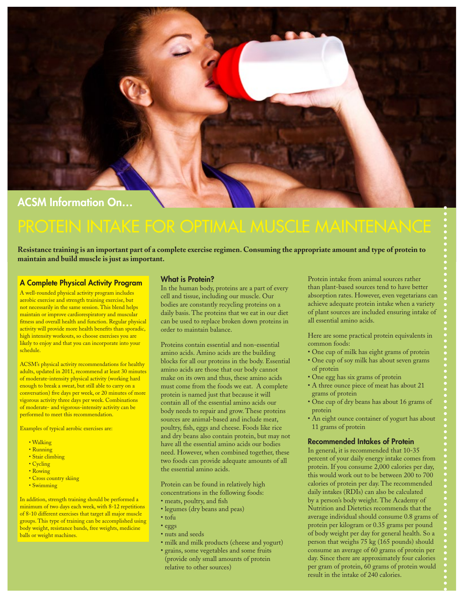

# ACSM Information On…

**Resistance training is an important part of a complete exercise regimen. Consuming the appropriate amount and type of protein to maintain and build muscle is just as important.**

#### A Complete Physical Activity Program

A well-rounded physical activity program includes aerobic exercise and strength training exercise, but not necessarily in the same session. This blend helps maintain or improve cardiorespiratory and muscular fitness and overall health and function. Regular physical activity will provide more health benefits than sporadic, high intensity workouts, so choose exercises you are likely to enjoy and that you can incorporate into your schedule.

ACSM's physical activity recommendations for healthy adults, updated in 2011, recommend at least 30 minutes of moderate-intensity physical activity (working hard enough to break a sweat, but still able to carry on a conversation) five days per week, or 20 minutes of more vigorous activity three days per week. Combinations of moderate- and vigorous-intensity activity can be performed to meet this recommendation.

Examples of typical aerobic exercises are:

- Walking
- Running
- Stair climbing • Cycling
- Rowing
- Cross country skiing
- Swimming

In addition, strength training should be performed a minimum of two days each week, with  $8-12$  repetitions of 8-10 different exercises that target all major muscle groups. This type of training can be accomplished using body weight, resistance bands, free weights, medicine balls or weight machines.

#### What is Protein?

In the human body, proteins are a part of every cell and tissue, including our muscle. Our bodies are constantly recycling proteins on a daily basis. The proteins that we eat in our diet can be used to replace broken down proteins in order to maintain balance.

Proteins contain essential and non-essential amino acids. Amino acids are the building blocks for all our proteins in the body. Essential amino acids are those that our body cannot make on its own and thus, these amino acids must come from the foods we eat. A complete protein is named just that because it will contain all of the essential amino acids our body needs to repair and grow. These proteins sources are animal-based and include meat, poultry, fish, eggs and cheese. Foods like rice and dry beans also contain protein, but may not have all the essential amino acids our bodies need. However, when combined together, these two foods can provide adequate amounts of all the essential amino acids.

Protein can be found in relatively high concentrations in the following foods:

- meats, poultry, and fish
- legumes (dry beans and peas)
- tofu
- eggs
	- nuts and seeds
	- milk and milk products (cheese and yogurt)
	- grains, some vegetables and some fruits (provide only small amounts of protein relative to other sources)

Protein intake from animal sources rather than plant-based sources tend to have better absorption rates. However, even vegetarians can achieve adequate protein intake when a variety of plant sources are included ensuring intake of all essential amino acids.

Here are some practical protein equivalents in common foods:

- One cup of milk has eight grams of protein
- One cup of soy milk has about seven grams of protein
- One egg has six grams of protein
- A three ounce piece of meat has about 21 grams of protein
- One cup of dry beans has about 16 grams of protein
- An eight ounce container of yogurt has about 11 grams of protein

#### Recommended Intakes of Protein

In general, it is recommended that 10-35 percent of your daily energy intake comes from protein. If you consume 2,000 calories per day, this would work out to be between 200 to 700 calories of protein per day. The recommended daily intakes (RDIs) can also be calculated by a person's body weight. The Academy of Nutrition and Dietetics recommends that the average individual should consume 0.8 grams of protein per kilogram or 0.35 grams per pound of body weight per day for general health. So a person that weighs 75 kg (165 pounds) should consume an average of 60 grams of protein per day. Since there are approximately four calories per gram of protein, 60 grams of protein would result in the intake of 240 calories.